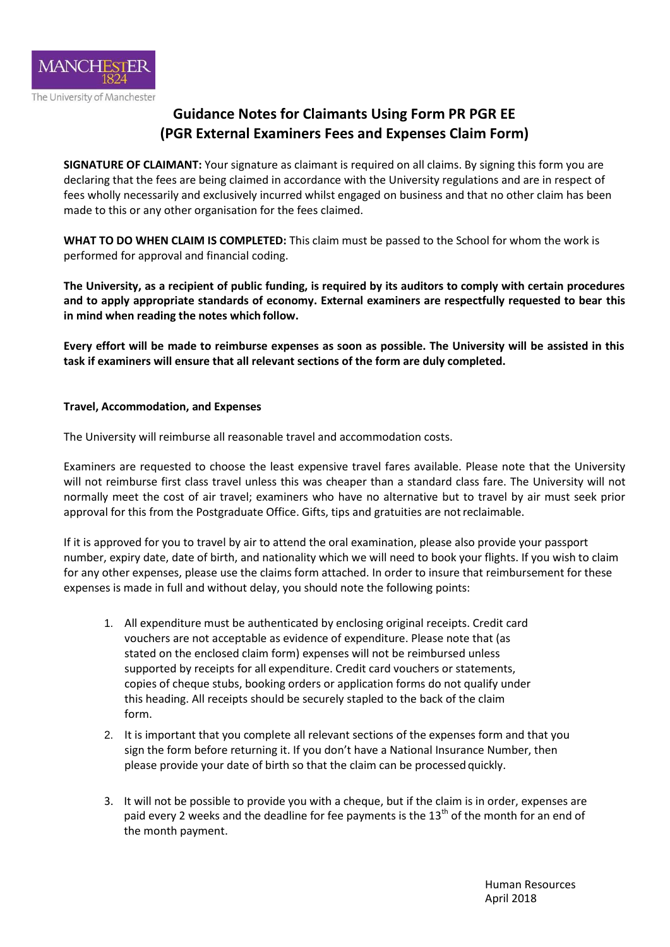

# **Guidance Notes for Claimants Using Form PR PGR EE (PGR External Examiners Fees and Expenses Claim Form)**

**SIGNATURE OF CLAIMANT:** Your signature as claimant is required on all claims. By signing this form you are declaring that the fees are being claimed in accordance with the University regulations and are in respect of fees wholly necessarily and exclusively incurred whilst engaged on business and that no other claim has been made to this or any other organisation for the fees claimed.

**WHAT TO DO WHEN CLAIM IS COMPLETED:** This claim must be passed to the School for whom the work is performed for approval and financial coding.

**The University, as a recipient of public funding, is required by its auditors to comply with certain procedures and to apply appropriate standards of economy. External examiners are respectfully requested to bear this in mind when reading the notes which follow.**

**Every effort will be made to reimburse expenses as soon as possible. The University will be assisted in this task if examiners will ensure that all relevant sections of the form are duly completed.**

## **Travel, Accommodation, and Expenses**

The University will reimburse all reasonable travel and accommodation costs.

Examiners are requested to choose the least expensive travel fares available. Please note that the University will not reimburse first class travel unless this was cheaper than a standard class fare. The University will not normally meet the cost of air travel; examiners who have no alternative but to travel by air must seek prior approval for this from the Postgraduate Office. Gifts, tips and gratuities are notreclaimable.

If it is approved for you to travel by air to attend the oral examination, please also provide your passport number, expiry date, date of birth, and nationality which we will need to book your flights. If you wish to claim for any other expenses, please use the claims form attached. In order to insure that reimbursement for these expenses is made in full and without delay, you should note the following points:

- 1. All expenditure must be authenticated by enclosing original receipts. Credit card vouchers are not acceptable as evidence of expenditure. Please note that (as stated on the enclosed claim form) expenses will not be reimbursed unless supported by receipts for all expenditure. Credit card vouchers or statements, copies of cheque stubs, booking orders or application forms do not qualify under this heading. All receipts should be securely stapled to the back of the claim form.
- 2. It is important that you complete all relevant sections of the expenses form and that you sign the form before returning it. If you don't have a National Insurance Number, then please provide your date of birth so that the claim can be processed quickly.
- 3. It will not be possible to provide you with a cheque, but if the claim is in order, expenses are paid every 2 weeks and the deadline for fee payments is the 13<sup>th</sup> of the month for an end of the month payment.